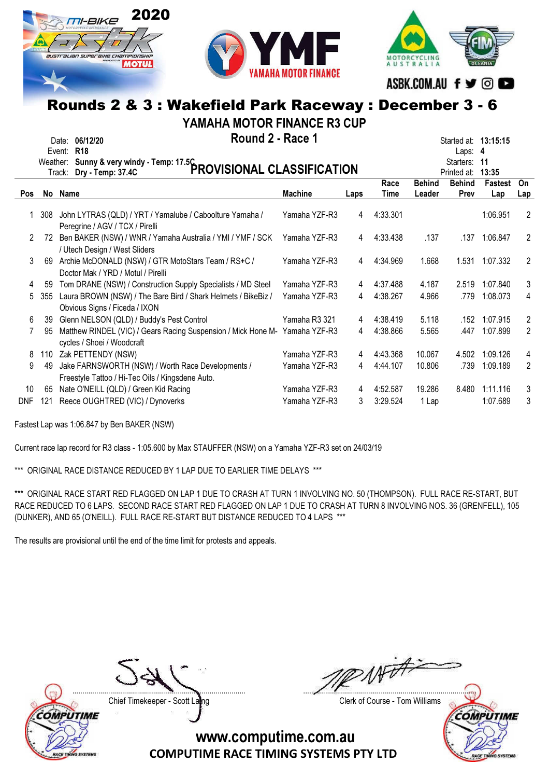



**MOTORCYCLIN** ASBK.COM.AU f y © O

## Rounds 2 & 3 : Wakefield Park Raceway : December 3 - 6

YAMAHA MOTOR FINANCE R3 CUP

|     | Weather: | Round 2 - Race 1<br>Date: 06/12/20<br><b>R18</b><br>Event:<br>Sunny & very windy - Temp: 17.5C<br>PROVISIONAL CLASSIFICATION<br>Track: |                |      |              |                         | Started at: 13:15:15<br>Laps: $4$<br>Starters:<br>Printed at: | -11<br>13:35   |                |
|-----|----------|----------------------------------------------------------------------------------------------------------------------------------------|----------------|------|--------------|-------------------------|---------------------------------------------------------------|----------------|----------------|
| Pos |          | No Name                                                                                                                                | <b>Machine</b> | Laps | Race<br>Time | <b>Behind</b><br>Leader | <b>Behind</b><br>Prev                                         | Fastest<br>Lap | On<br>Lap      |
|     | 308      | John LYTRAS (QLD) / YRT / Yamalube / Caboolture Yamaha /<br>Peregrine / AGV / TCX / Pirelli                                            | Yamaha YZF-R3  | 4    | 4:33.301     |                         |                                                               | 1:06.951       | 2              |
| 2   | 72       | Ben BAKER (NSW) / WNR / Yamaha Australia / YMI / YMF / SCK<br>/ Utech Design / West Sliders                                            | Yamaha YZF-R3  | 4    | 4:33.438     | .137                    | .137                                                          | 1:06.847       | 2              |
| 3   | 69       | Archie McDONALD (NSW) / GTR MotoStars Team / RS+C /<br>Doctor Mak / YRD / Motul / Pirelli                                              | Yamaha YZF-R3  | 4    | 4:34.969     | 1.668                   | 1.531                                                         | 1:07.332       | 2              |
| 4   | 59       | Tom DRANE (NSW) / Construction Supply Specialists / MD Steel                                                                           | Yamaha YZF-R3  | 4    | 4:37.488     | 4.187                   | 2.519                                                         | 1:07.840       | 3              |
| 5   | 355      | Laura BROWN (NSW) / The Bare Bird / Shark Helmets / BikeBiz /<br>Obvious Signs / Ficeda / IXON                                         | Yamaha YZF-R3  | 4    | 4:38.267     | 4.966                   | .779                                                          | 1:08.073       | 4              |
| 6   | 39       | Glenn NELSON (QLD) / Buddy's Pest Control                                                                                              | Yamaha R3 321  | 4    | 4:38.419     | 5.118                   | .152                                                          | 1:07.915       | 2              |
|     | 95       | Matthew RINDEL (VIC) / Gears Racing Suspension / Mick Hone M- Yamaha YZF-R3<br>cycles / Shoei / Woodcraft                              |                | 4    | 4:38.866     | 5.565                   | .447                                                          | 1:07.899       | $\overline{2}$ |
| 8   | 110      | Zak PETTENDY (NSW)                                                                                                                     | Yamaha YZF-R3  | 4    | 4:43.368     | 10.067                  | 4.502                                                         | 1:09.126       | 4              |
| 9   | 49       | Jake FARNSWORTH (NSW) / Worth Race Developments /<br>Freestyle Tattoo / Hi-Tec Oils / Kingsdene Auto.                                  | Yamaha YZF-R3  | 4    | 4:44.107     | 10.806                  | .739                                                          | 1:09.189       | $\overline{2}$ |
| 10  | 65       | Nate O'NEILL (QLD) / Green Kid Racing                                                                                                  | Yamaha YZF-R3  | 4    | 4:52.587     | 19.286                  | 8.480                                                         | 1:11.116       | 3              |
| DNF | 121      | Reece OUGHTRED (VIC) / Dynoverks                                                                                                       | Yamaha YZF-R3  | 3    | 3:29.524     | 1 Lap                   |                                                               | 1:07.689       | 3              |

Fastest Lap was 1:06.847 by Ben BAKER (NSW)

Current race lap record for R3 class - 1:05.600 by Max STAUFFER (NSW) on a Yamaha YZF-R3 set on 24/03/19

\*\*\* ORIGINAL RACE DISTANCE REDUCED BY 1 LAP DUE TO EARLIER TIME DELAYS \*\*\*

\*\*\* ORIGINAL RACE START RED FLAGGED ON LAP 1 DUE TO CRASH AT TURN 1 INVOLVING NO. 50 (THOMPSON). FULL RACE RE-START, BUT RACE REDUCED TO 6 LAPS. SECOND RACE START RED FLAGGED ON LAP 1 DUE TO CRASH AT TURN 8 INVOLVING NOS. 36 (GRENFELL), 105 (DUNKER), AND 65 (O'NEILL). FULL RACE RE-START BUT DISTANCE REDUCED TO 4 LAPS \*\*\*

The results are provisional until the end of the time limit for protests and appeals.



Chief Timekeeper - Scott Laing Chief Timekeeper - Scott Laing

With ....................................................................................... .......................................................................................

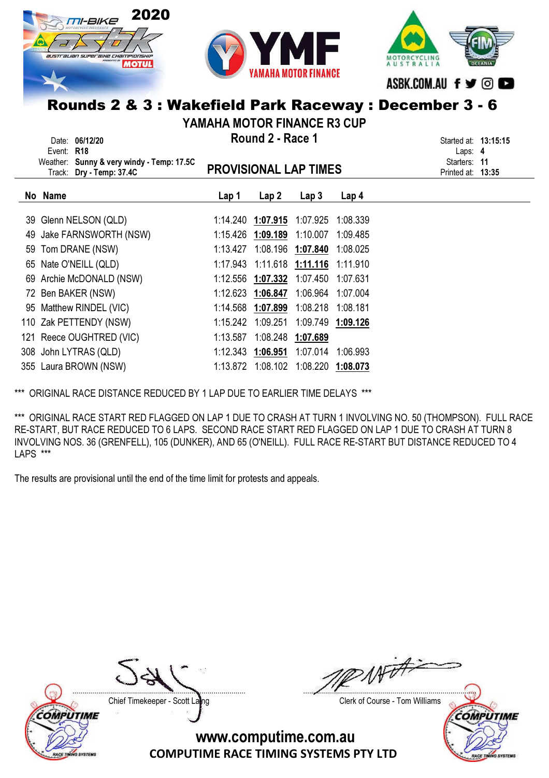





VAMAHA MOTOR FINANCE R3 CUR

| TAMANA MUTUR FINANCE R3 CUP |                                                                                                                 |                                                                               |                                     |                   |                  |  |  |  |  |
|-----------------------------|-----------------------------------------------------------------------------------------------------------------|-------------------------------------------------------------------------------|-------------------------------------|-------------------|------------------|--|--|--|--|
|                             | Date: 06/12/20<br><b>R18</b><br>Event:<br>Weather: Sunny & very windy - Temp: 17.5C<br>Track: Dry - Temp: 37.4C | Started at: <b>13:15:15</b><br>Laps: $4$<br>Starters: 11<br>Printed at: 13:35 |                                     |                   |                  |  |  |  |  |
|                             | No Name                                                                                                         | Lap 1                                                                         | Lap2                                | Lap <sub>3</sub>  | Lap <sub>4</sub> |  |  |  |  |
|                             | 39 Glenn NELSON (QLD)                                                                                           |                                                                               | 1:14.240 1:07.915 1:07.925          |                   | 1:08.339         |  |  |  |  |
| 49                          | Jake FARNSWORTH (NSW)                                                                                           |                                                                               | 1:15.426 1:09.189 1:10.007          |                   | 1:09.485         |  |  |  |  |
|                             | 59 Tom DRANE (NSW)                                                                                              | 1:13.427                                                                      |                                     | 1:08.196 1:07.840 | 1:08.025         |  |  |  |  |
|                             | 65 Nate O'NEILL (QLD)                                                                                           |                                                                               | 1:17.943 1:11.618 1:11.116          |                   | 1:11.910         |  |  |  |  |
|                             | 69 Archie McDONALD (NSW)                                                                                        |                                                                               | 1:12.556 1:07.332 1:07.450          |                   | 1:07.631         |  |  |  |  |
|                             | 72 Ben BAKER (NSW)                                                                                              |                                                                               | 1:12.623 1:06.847 1:06.964          |                   | 1:07.004         |  |  |  |  |
|                             | 95 Matthew RINDEL (VIC)                                                                                         |                                                                               | 1:14.568 1:07.899 1:08.218 1:08.181 |                   |                  |  |  |  |  |
|                             | 110 Zak PETTENDY (NSW)                                                                                          | 1:15.242                                                                      | 1:09.251                            | 1:09.749          | 1:09.126         |  |  |  |  |
|                             | 121 Reece OUGHTRED (VIC)                                                                                        | 1:13.587                                                                      | 1:08.248                            | 1:07.689          |                  |  |  |  |  |
|                             | 308 John LYTRAS (QLD)                                                                                           |                                                                               |                                     | 1:07.014          | 1:06.993         |  |  |  |  |
|                             | 355 Laura BROWN (NSW)                                                                                           | 1:13.872                                                                      | 1:08.102                            | 1:08.220 1:08.073 |                  |  |  |  |  |

\*\*\* ORIGINAL RACE DISTANCE REDUCED BY 1 LAP DUE TO EARLIER TIME DELAYS \*\*\*

\*\*\* ORIGINAL RACE START RED FLAGGED ON LAP 1 DUE TO CRASH AT TURN 1 INVOLVING NO. 50 (THOMPSON). FULL RACE RE-START, BUT RACE REDUCED TO 6 LAPS. SECOND RACE START RED FLAGGED ON LAP 1 DUE TO CRASH AT TURN 8 INVOLVING NOS. 36 (GRENFELL), 105 (DUNKER), AND 65 (O'NEILL). FULL RACE RE-START BUT DISTANCE REDUCED TO 4 LAPS \*\*\*

The results are provisional until the end of the time limit for protests and appeals.



Chief Timekeeper - Scott Laing Chief Timekeeper - Scott Laing

 $M\vec{v}$ ....................................................................................... .......................................................................................

**COMPUTIME**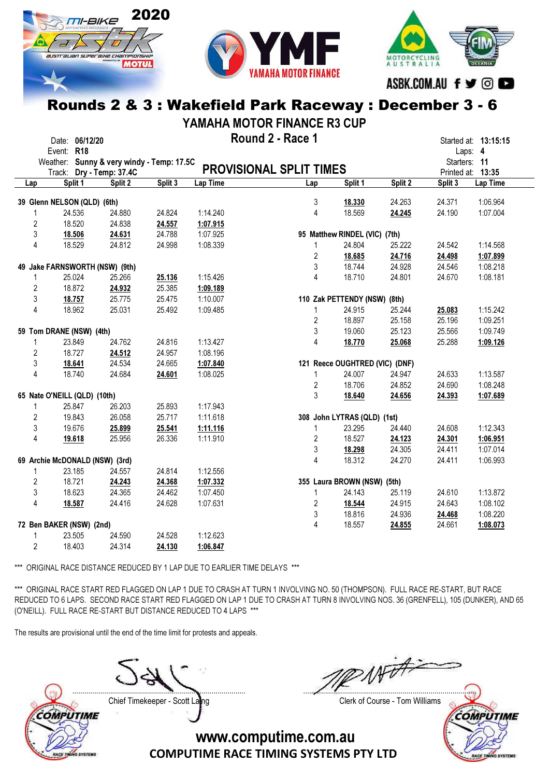



MOTORCYCLING ASBK.COM.AU f y © ©

#### Rounds 2 & 3 : Wakefield Park Raceway : December 3 - 6

YAMAHA MOTOR FINANCE R3 CUP

|                |                              | Date: 06/12/20 |                                           |         |          | Round 2 - Race 1               |                |                                |         |              | Started at: 13:15:15 |
|----------------|------------------------------|----------------|-------------------------------------------|---------|----------|--------------------------------|----------------|--------------------------------|---------|--------------|----------------------|
|                | Event: R18                   |                |                                           |         |          |                                |                |                                |         |              | Laps: 4              |
|                |                              |                | Weather: Sunny & very windy - Temp: 17.5C |         |          |                                |                |                                |         | Starters: 11 |                      |
|                |                              |                | Track: Dry - Temp: 37.4C                  |         |          | <b>PROVISIONAL SPLIT TIMES</b> |                |                                |         |              | Printed at: 13:35    |
| Lap            |                              | Split 1        | Split 2                                   | Split 3 | Lap Time | Lap                            |                | Split 1                        | Split 2 | Split 3      | Lap Time             |
|                |                              |                |                                           |         |          |                                |                |                                |         |              |                      |
|                | 39 Glenn NELSON (QLD) (6th)  |                |                                           |         |          |                                | 3              | 18.330                         | 24.263  | 24.371       | 1:06.964             |
| 1              |                              | 24.536         | 24.880                                    | 24.824  | 1:14.240 |                                | 4              | 18.569                         | 24.245  | 24.190       | 1:07.004             |
| $\overline{2}$ |                              | 18.520         | 24.838                                    | 24.557  | 1:07.915 |                                |                |                                |         |              |                      |
| 3              |                              | 18.506         | 24.631                                    | 24.788  | 1:07.925 |                                |                | 95 Matthew RINDEL (VIC) (7th)  |         |              |                      |
| $\overline{4}$ |                              | 18.529         | 24.812                                    | 24.998  | 1:08.339 |                                | $\mathbf{1}$   | 24.804                         | 25.222  | 24.542       | 1:14.568             |
|                |                              |                |                                           |         |          |                                | $\overline{2}$ | 18.685                         | 24.716  | 24.498       | 1:07.899             |
|                |                              |                | 49 Jake FARNSWORTH (NSW) (9th)            |         |          |                                | 3              | 18.744                         | 24.928  | 24.546       | 1:08.218             |
| 1              |                              | 25.024         | 25.266                                    | 25.136  | 1:15.426 |                                | 4              | 18.710                         | 24.801  | 24.670       | 1:08.181             |
| $\overline{2}$ |                              | 18.872         | 24.932                                    | 25.385  | 1:09.189 |                                |                |                                |         |              |                      |
| 3              |                              | 18.757         | 25.775                                    | 25.475  | 1:10.007 |                                |                | 110 Zak PETTENDY (NSW) (8th)   |         |              |                      |
| 4              |                              | 18.962         | 25.031                                    | 25.492  | 1:09.485 |                                | $\mathbf{1}$   | 24.915                         | 25.244  | 25.083       | 1:15.242             |
|                |                              |                |                                           |         |          |                                | $\overline{2}$ | 18.897                         | 25.158  | 25.196       | 1:09.251             |
|                | 59 Tom DRANE (NSW) (4th)     |                |                                           |         |          |                                | 3              | 19.060                         | 25.123  | 25.566       | 1:09.749             |
| 1              |                              | 23.849         | 24.762                                    | 24.816  | 1:13.427 |                                | 4              | 18.770                         | 25.068  | 25.288       | 1:09.126             |
| $\overline{2}$ |                              | 18.727         | 24.512                                    | 24.957  | 1:08.196 |                                |                |                                |         |              |                      |
| 3              |                              | 18.641         | 24.534                                    | 24.665  | 1:07.840 |                                |                | 121 Reece OUGHTRED (VIC) (DNF) |         |              |                      |
| $\overline{4}$ |                              | 18.740         | 24.684                                    | 24.601  | 1:08.025 |                                | $\mathbf{1}$   | 24.007                         | 24.947  | 24.633       | 1:13.587             |
|                |                              |                |                                           |         |          |                                | $\overline{2}$ | 18.706                         | 24.852  | 24.690       | 1:08.248             |
|                | 65 Nate O'NEILL (QLD) (10th) |                |                                           |         |          |                                | 3              | 18.640                         | 24.656  | 24.393       | 1:07.689             |
| 1              |                              | 25.847         | 26.203                                    | 25.893  | 1:17.943 |                                |                |                                |         |              |                      |
| 2              |                              | 19.843         | 26.058                                    | 25.717  | 1:11.618 |                                |                | 308 John LYTRAS (QLD) (1st)    |         |              |                      |
| 3              |                              | 19.676         | 25.899                                    | 25.541  | 1:11.116 |                                | $\mathbf{1}$   | 23.295                         | 24.440  | 24.608       | 1:12.343             |
| 4              |                              | 19.618         | 25.956                                    | 26.336  | 1:11.910 |                                | $\overline{2}$ | 18.527                         | 24.123  | 24.301       | 1:06.951             |
|                |                              |                |                                           |         |          |                                | 3              | 18.298                         | 24.305  | 24.411       | 1:07.014             |
|                |                              |                | 69 Archie McDONALD (NSW) (3rd)            |         |          |                                | 4              | 18.312                         | 24.270  | 24.411       | 1:06.993             |
| $\mathbf{1}$   |                              | 23.185         | 24.557                                    | 24.814  | 1:12.556 |                                |                |                                |         |              |                      |
| $\overline{c}$ |                              | 18.721         | 24.243                                    | 24.368  | 1:07.332 |                                |                | 355 Laura BROWN (NSW) (5th)    |         |              |                      |
| 3              |                              | 18.623         | 24.365                                    | 24.462  | 1:07.450 |                                | $\mathbf{1}$   | 24.143                         | 25.119  | 24.610       | 1:13.872             |
|                |                              |                |                                           |         |          |                                |                |                                |         |              |                      |
| 4              |                              | 18.587         | 24.416                                    | 24.628  | 1:07.631 |                                | $\overline{c}$ | 18.544                         | 24.915  | 24.643       | 1:08.102             |
|                |                              |                |                                           |         |          |                                | 3              | 18.816                         | 24.936  | 24.468       | 1:08.220             |
|                | 72 Ben BAKER (NSW) (2nd)     |                |                                           |         |          |                                | 4              | 18.557                         | 24.855  | 24.661       | 1:08.073             |
| 1              |                              | 23.505         | 24.590                                    | 24.528  | 1:12.623 |                                |                |                                |         |              |                      |
| $\overline{2}$ |                              | 18.403         | 24.314                                    | 24.130  | 1:06.847 |                                |                |                                |         |              |                      |

\*\*\* ORIGINAL RACE DISTANCE REDUCED BY 1 LAP DUE TO EARLIER TIME DELAYS \*\*\*

\*\*\* ORIGINAL RACE START RED FLAGGED ON LAP 1 DUE TO CRASH AT TURN 1 INVOLVING NO. 50 (THOMPSON). FULL RACE RE-START, BUT RACE REDUCED TO 6 LAPS. SECOND RACE START RED FLAGGED ON LAP 1 DUE TO CRASH AT TURN 8 INVOLVING NOS. 36 (GRENFELL), 105 (DUNKER), AND 65 (O'NEILL). FULL RACE RE-START BUT DISTANCE REDUCED TO 4 LAPS \*\*\*

> COMPUTIME RACE TIMING SYSTEMS PTY LTD www.computime.com.au

The results are provisional until the end of the time limit for protests and appeals.



Chief Timekeeper - Scott Laing Chief Timekeeper - Scott Laing

Not A ....................................................................................... .......................................................................................

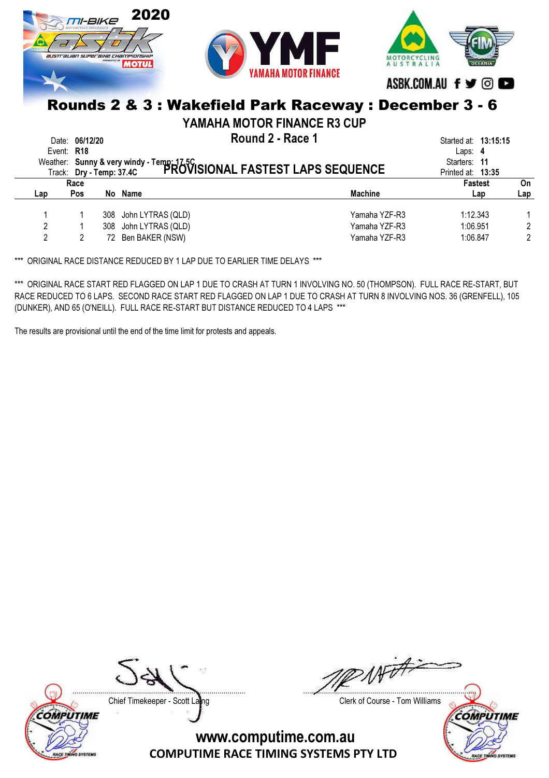

YAMAHA MOTOR FINANCE R3 CUP

Date: 06/12/20 **Example 2 - Round 2 - Race 1** April 2 - Race 1 April 2 - Race 1 April 2 - Race 1 April 2 - Race 1 April 2 - Race 1 April 2 - Race 1 April 2 - Race 1 April 2 - Race 1 April 2 - Race 1 April 2 - Race 1 April

|     | Event: R18<br>Track: Dry - Temp: 37.4C | Weather: Sunny & very windy - Temp: 17.5C<br>Track: Drv - Temp: 37.4C PROVISIONAL FASTEST LAPS SEQUENCE |                | Laps: $4$<br>Starters: 11<br>Printed at: 13:35 |     |
|-----|----------------------------------------|---------------------------------------------------------------------------------------------------------|----------------|------------------------------------------------|-----|
|     | Race                                   |                                                                                                         |                | <b>Fastest</b>                                 | On  |
| Lap | <b>Pos</b>                             | No Name                                                                                                 | <b>Machine</b> | Lap                                            | Lap |
|     |                                        | 308 John LYTRAS (QLD)                                                                                   | Yamaha YZF-R3  | 1:12.343                                       |     |
| 2   |                                        | 308 John LYTRAS (QLD)                                                                                   | Yamaha YZF-R3  | 1:06.951                                       |     |
|     |                                        | 72 Ben BAKER (NSW)                                                                                      | Yamaha YZF-R3  | 1:06.847                                       | 2   |

\*\*\* ORIGINAL RACE DISTANCE REDUCED BY 1 LAP DUE TO EARLIER TIME DELAYS \*\*\*

\*\*\* ORIGINAL RACE START RED FLAGGED ON LAP 1 DUE TO CRASH AT TURN 1 INVOLVING NO. 50 (THOMPSON). FULL RACE RE-START, BUT RACE REDUCED TO 6 LAPS. SECOND RACE START RED FLAGGED ON LAP 1 DUE TO CRASH AT TURN 8 INVOLVING NOS. 36 (GRENFELL), 105 (DUNKER), AND 65 (O'NEILL). FULL RACE RE-START BUT DISTANCE REDUCED TO 4 LAPS \*\*\*

The results are provisional until the end of the time limit for protests and appeals.



Chief Timekeeper - Scott Laing Chief Timekeeper - Scott Laing

NATA2 ....................................................................................... .......................................................................................

**COMPUTIME**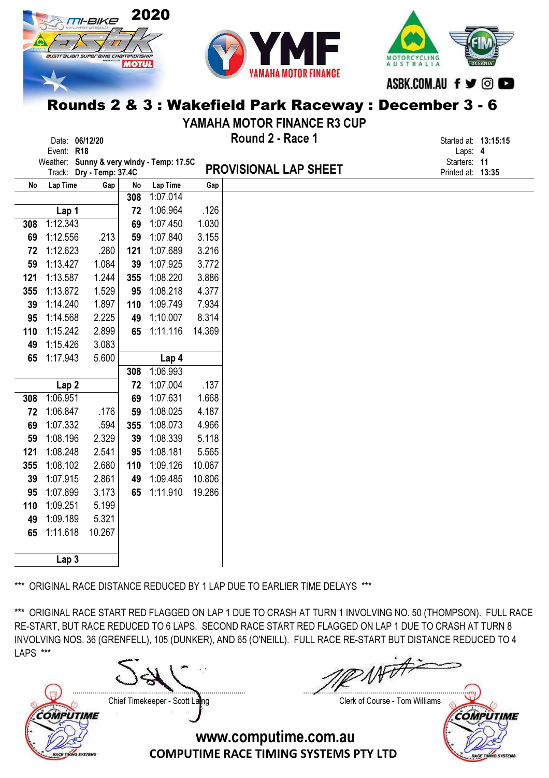



MOTORCYCLING ASBK.COM.AU f y ©

# Rounds 2 & 3 : Wakefield Park Raceway : December 3 - 6

YAMAHA MOTOR FINANCE R3 CUP

|     | Date: 06/12/20   |                          |     |                                           |        | Round 2 - Race 1             | Started at: 13:15:15    |  |
|-----|------------------|--------------------------|-----|-------------------------------------------|--------|------------------------------|-------------------------|--|
|     | Event: R18       |                          |     | Weather: Sunny & very windy - Temp: 17.5C |        |                              | Laps: 4<br>Starters: 11 |  |
|     |                  | Track: Dry - Temp: 37.4C |     |                                           |        | <b>PROVISIONAL LAP SHEET</b> | Printed at: 13:35       |  |
| No  | Lap Time         | Gap                      | No  | Lap Time                                  | Gap    |                              |                         |  |
|     |                  |                          | 308 | 1:07.014                                  |        |                              |                         |  |
|     | Lap 1            |                          | 72  | 1:06.964                                  | .126   |                              |                         |  |
| 308 | 1:12.343         |                          | 69  | 1:07.450                                  | 1.030  |                              |                         |  |
| 69  | 1:12.556         | .213                     | 59  | 1:07.840                                  | 3.155  |                              |                         |  |
| 72  | 1:12.623         | .280                     | 121 | 1:07.689                                  | 3.216  |                              |                         |  |
| 59  | 1:13.427         | 1.084                    | 39  | 1:07.925                                  | 3.772  |                              |                         |  |
| 121 | 1:13.587         | 1.244                    | 355 | 1:08.220                                  | 3.886  |                              |                         |  |
| 355 | 1:13.872         | 1.529                    | 95  | 1:08.218                                  | 4.377  |                              |                         |  |
| 39  | 1:14.240         | 1.897                    | 110 | 1:09.749                                  | 7.934  |                              |                         |  |
| 95  | 1:14.568         | 2.225                    | 49  | 1:10.007                                  | 8.314  |                              |                         |  |
| 110 | 1:15.242         | 2.899                    | 65  | 1:11.116                                  | 14.369 |                              |                         |  |
| 49  | 1:15.426         | 3.083                    |     |                                           |        |                              |                         |  |
| 65  | 1:17.943         | 5.600                    |     | Lap 4                                     |        |                              |                         |  |
|     |                  |                          | 308 | 1:06.993                                  |        |                              |                         |  |
|     | Lap <sub>2</sub> |                          | 72  | 1:07.004                                  | .137   |                              |                         |  |
| 308 | 1:06.951         |                          | 69  | 1:07.631                                  | 1.668  |                              |                         |  |
| 72  | 1:06.847         | .176                     | 59  | 1:08.025                                  | 4.187  |                              |                         |  |
| 69  | 1:07.332         | .594                     | 355 | 1:08.073                                  | 4.966  |                              |                         |  |
| 59  | 1:08.196         | 2.329                    | 39  | 1:08.339                                  | 5.118  |                              |                         |  |
| 121 | 1:08.248         | 2.541                    | 95  | 1:08.181                                  | 5.565  |                              |                         |  |
| 355 | 1:08.102         | 2.680                    | 110 | 1:09.126                                  | 10.067 |                              |                         |  |
| 39  | 1:07.915         | 2.861                    | 49  | 1:09.485                                  | 10.806 |                              |                         |  |
| 95  | 1:07.899         | 3.173                    | 65  | 1:11.910                                  | 19.286 |                              |                         |  |
| 110 | 1:09.251         | 5.199                    |     |                                           |        |                              |                         |  |
| 49  | 1:09.189         | 5.321                    |     |                                           |        |                              |                         |  |
| 65  | 1:11.618         | 10.267                   |     |                                           |        |                              |                         |  |
|     |                  |                          |     |                                           |        |                              |                         |  |
|     | Lap <sub>3</sub> |                          |     |                                           |        |                              |                         |  |

\*\*\* ORIGINAL RACE DISTANCE REDUCED BY 1 LAP DUE TO EARLIER TIME DELAYS \*\*\*

\*\*\* ORIGINAL RACE START RED FLAGGED ON LAP 1 DUE TO CRASH AT TURN 1 INVOLVING NO. 50 (THOMPSON). FULL RACE RE-START, BUT RACE REDUCED TO 6 LAPS. SECOND RACE START RED FLAGGED ON LAP 1 DUE TO CRASH AT TURN 8 INVOLVING NOS. 36 (GRENFELL), 105 (DUNKER), AND 65 (O'NEILL). FULL RACE RE-START BUT DISTANCE REDUCED TO 4 LAPS \*\*\*

....................................................................................... ....................................................................................... Chief Timekeeper - Scott Laing Chief Timekeeper - Scott Laing **COMPUTIME COMPUTIME** www.computime.com.au COMPUTIME RACE TIMING SYSTEMS PTY LTD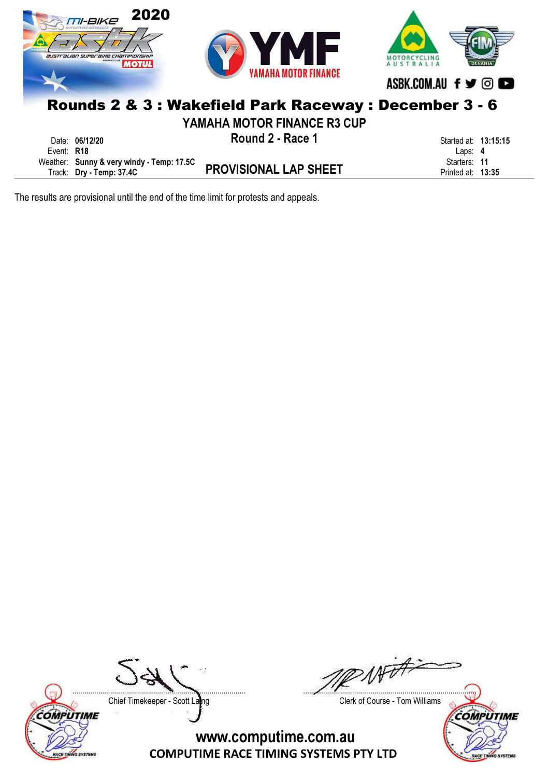

The results are provisional until the end of the time limit for protests and appeals.



RACE TINING SYSTEMS

Chief Timekeeper - Scott Laing Chief Timekeeper - Scott Laing

....................................................................................... .......................................................................................

**COMPUTIME** 

**RACE TI** 

**SYSTEMS**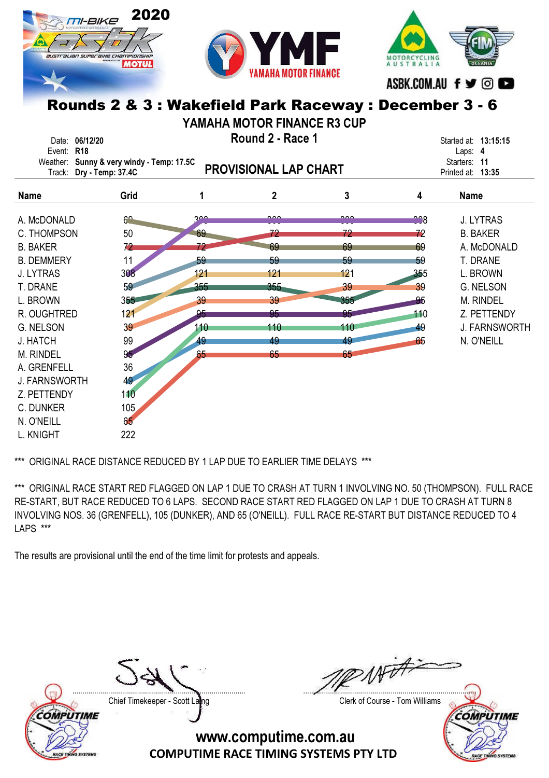



**MOTORCYCLIN** ASBK.COM.AU f y ©

# Rounds 2 & 3 : Wakefield Park Raceway : December 3 - 6

YAMAHA MOTOR FINANCE R3 CUP

| Event: R18<br>Weather:     | Date: 06/12/20<br>Track: Dry - Temp: 37.4C | Round 2 - Race 1<br>Sunny & very windy - Temp: 17.5C<br><b>PROVISIONAL LAP CHART</b> |           |           |                               |           | Started at: 13:15:15<br>Laps: 4<br>11<br>Starters:<br>Printed at: 13:35 |
|----------------------------|--------------------------------------------|--------------------------------------------------------------------------------------|-----------|-----------|-------------------------------|-----------|-------------------------------------------------------------------------|
| <b>Name</b>                |                                            | Grid                                                                                 | 1         | 2         | 3                             | 4         | <b>Name</b>                                                             |
| A. McDONALD<br>C. THOMPSON |                                            | $\mathcal{C}^{\sim}$<br>50                                                           | 200<br>69 | ممہ<br>79 | $\overline{\mathbf{a}}$<br>72 | 228<br>72 | <b>J. LYTRAS</b><br><b>B. BAKER</b>                                     |
| <b>B. BAKER</b>            |                                            | 72                                                                                   | 72        | 69        | 69                            | 69        | A. McDONALD                                                             |
| <b>B. DEMMERY</b>          |                                            | 11                                                                                   | 59        | 59        | 59                            | 59        | T. DRANE                                                                |
| J. LYTRAS                  |                                            | 308                                                                                  | 121       | 121       | 121                           | 355       | L. BROWN                                                                |
| T. DRANE                   |                                            | 59                                                                                   | 355       | $355-$    | 39                            | 39        | G. NELSON                                                               |
| L. BROWN                   |                                            | 355                                                                                  | 39        | 39        | 355                           | 95        | M. RINDEL                                                               |
| R. OUGHTRED                |                                            | 121                                                                                  | 95        | 95        | 95                            | 110       | Z. PETTENDY                                                             |
| <b>G. NELSON</b>           |                                            | 39                                                                                   | 110       | 110       | 110                           | 49        | <b>J. FARNSWORTH</b>                                                    |
| J. HATCH                   |                                            | 99                                                                                   | 49        | 49        | 49                            | 65        | N. O'NEILL                                                              |
| M. RINDEL                  |                                            | 95                                                                                   | 65        | 65        | 65                            |           |                                                                         |
| A. GRENFELL                |                                            | 36                                                                                   |           |           |                               |           |                                                                         |
| <b>J. FARNSWORTH</b>       |                                            | 49                                                                                   |           |           |                               |           |                                                                         |
| Z. PETTENDY                |                                            | 110                                                                                  |           |           |                               |           |                                                                         |
| C. DUNKER                  |                                            | 105                                                                                  |           |           |                               |           |                                                                         |
| N. O'NEILL                 |                                            | 65                                                                                   |           |           |                               |           |                                                                         |
| L. KNIGHT                  |                                            | 222                                                                                  |           |           |                               |           |                                                                         |

\*\*\* ORIGINAL RACE DISTANCE REDUCED BY 1 LAP DUE TO EARLIER TIME DELAYS \*\*\*

\*\*\* ORIGINAL RACE START RED FLAGGED ON LAP 1 DUE TO CRASH AT TURN 1 INVOLVING NO. 50 (THOMPSON). FULL RACE RE-START, BUT RACE REDUCED TO 6 LAPS. SECOND RACE START RED FLAGGED ON LAP 1 DUE TO CRASH AT TURN 8 INVOLVING NOS. 36 (GRENFELL), 105 (DUNKER), AND 65 (O'NEILL). FULL RACE RE-START BUT DISTANCE REDUCED TO 4 LAPS \*\*\*

The results are provisional until the end of the time limit for protests and appeals.



Chief Timekeeper - Scott Laing Chief Timekeeper - Scott Laing

 $W$ ....................................................................................... .......................................................................................

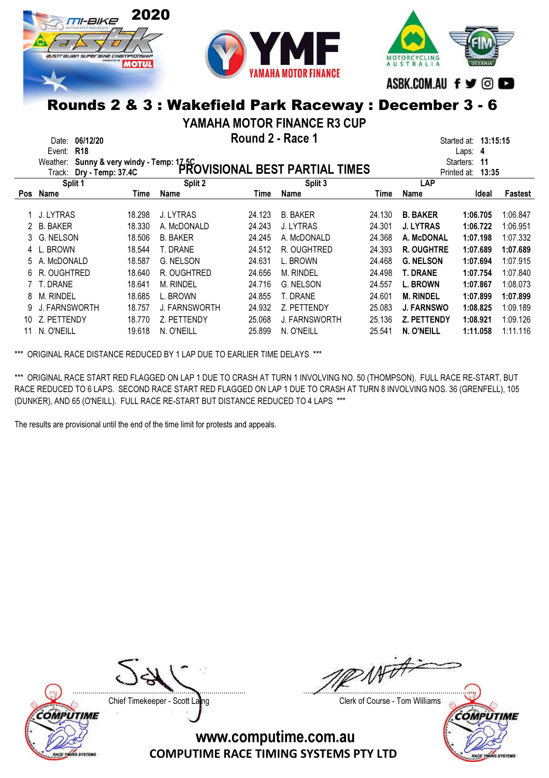





YAMAHA MOTOR FINANCE R3 CUP

Date: 06/12/20 **Example 2 - Round 2 - Race 1** April 2 - Race 1 April 2 - Race 1 April 2 - Race 1 April 2 - Race 1 April 2 - Race 1 April 2 - Race 1 April 2 - Race 1 April 2 - Race 1 April 2 - Race 1 April 2 - Race 1 April

|            | Event: R18                                                                                                          |        |                  |        |                      |        |                    | Laps: 4           |          |
|------------|---------------------------------------------------------------------------------------------------------------------|--------|------------------|--------|----------------------|--------|--------------------|-------------------|----------|
|            |                                                                                                                     |        |                  |        |                      |        |                    | Starters:<br>-11  |          |
|            | Weather: Sunny & very windy - Temp: 17.5C<br>The Line of the State of Temp: 27.4C<br>PROVISIONAL BEST PARTIAL TIMES |        |                  |        |                      |        |                    | Printed at: 13:35 |          |
|            | Split 1                                                                                                             |        | Split 2          |        | Split 3              |        | LAP                |                   |          |
| <b>Pos</b> | Name                                                                                                                | Time   | Name             | Time   | Name                 | Time   | Name               | Ideal             | Fastest  |
|            |                                                                                                                     |        |                  |        |                      |        |                    |                   |          |
|            | 1 J. LYTRAS                                                                                                         | 18.298 | <b>J. LYTRAS</b> | 24.123 | <b>B. BAKER</b>      | 24.130 | <b>B. BAKER</b>    | 1:06.705          | 1:06.847 |
|            | <b>B. BAKER</b>                                                                                                     | 18.330 | A. McDONALD      | 24.243 | J. LYTRAS            | 24.301 | <b>J. LYTRAS</b>   | 1:06.722          | 1:06.951 |
| 3          | G. NELSON                                                                                                           | 18.506 | <b>B. BAKER</b>  | 24.245 | A. McDONALD          | 24.368 | A. McDONAL         | 1:07.198          | 1:07.332 |
|            | 4 L. BROWN                                                                                                          | 18.544 | T. DRANE         | 24.512 | R. OUGHTRED          | 24.393 | <b>R. OUGHTRE</b>  | 1:07.689          | 1:07.689 |
| 5.         | A. McDONALD                                                                                                         | 18.587 | G. NELSON        | 24.631 | L. BROWN             | 24.468 | <b>G. NELSON</b>   | 1:07.694          | 1:07.915 |
| 6.         | R. OUGHTRED                                                                                                         | 18.640 | R. OUGHTRED      | 24.656 | <b>M. RINDEL</b>     | 24.498 | <b>T. DRANE</b>    | 1:07.754          | 1:07.840 |
|            | 7 T. DRANE                                                                                                          | 18.641 | M. RINDEL        | 24.716 | G. NELSON            | 24.557 | <b>L. BROWN</b>    | 1:07.867          | 1:08.073 |
| 8          | <b>M. RINDEL</b>                                                                                                    | 18.685 | L. BROWN         | 24.855 | T. DRANE             | 24.601 | <b>M. RINDEL</b>   | 1:07.899          | 1:07.899 |
|            | J. FARNSWORTH                                                                                                       | 18.757 | J. FARNSWORTH    | 24.932 | Z. PETTENDY          | 25.083 | <b>J. FARNSWO</b>  | 1:08.825          | 1:09.189 |
|            | 10 Z. PETTENDY                                                                                                      | 18.770 | Z. PETTENDY      | 25.068 | <b>J. FARNSWORTH</b> | 25.136 | <b>Z. PETTENDY</b> | 1:08.921          | 1:09.126 |
|            | N. O'NEILL                                                                                                          | 19.618 | N. O'NEILL       | 25.899 | N. O'NEILL           | 25.541 | N. O'NEILL         | 1:11.058          | 1:11.116 |

\*\*\* ORIGINAL RACE DISTANCE REDUCED BY 1 LAP DUE TO EARLIER TIME DELAYS \*\*\*

\*\*\* ORIGINAL RACE START RED FLAGGED ON LAP 1 DUE TO CRASH AT TURN 1 INVOLVING NO. 50 (THOMPSON). FULL RACE RE-START, BUT RACE REDUCED TO 6 LAPS. SECOND RACE START RED FLAGGED ON LAP 1 DUE TO CRASH AT TURN 8 INVOLVING NOS. 36 (GRENFELL), 105 (DUNKER), AND 65 (O'NEILL). FULL RACE RE-START BUT DISTANCE REDUCED TO 4 LAPS \*\*\*

The results are provisional until the end of the time limit for protests and appeals.



Chief Timekeeper - Scott Laing Chief Timekeeper - Scott Laing

 $w\neq 1$ ....................................................................................... .......................................................................................

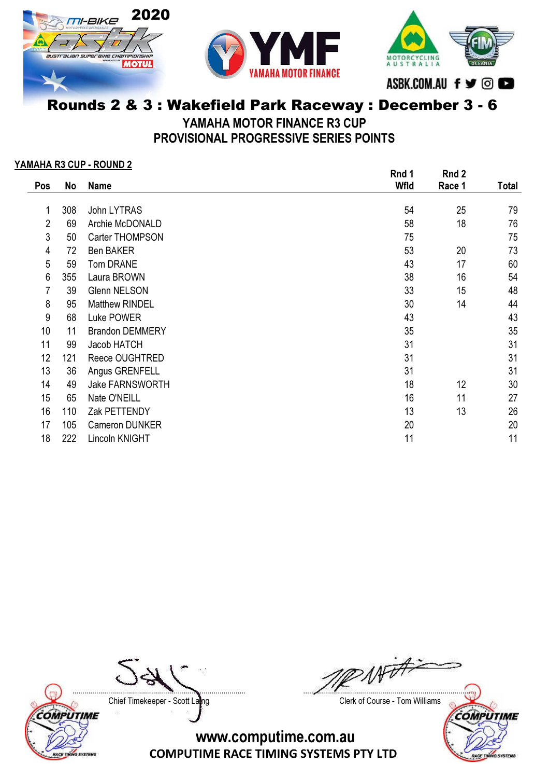





YAMAHA MOTOR FINANCE R3 CUP

PROVISIONAL PROGRESSIVE SERIES POINTS

#### YAMAHA R3 CUP - ROUND 2

|                |     | . <del>.</del>         | Rnd 1       | Rnd 2  |       |
|----------------|-----|------------------------|-------------|--------|-------|
| Pos            | No  | <b>Name</b>            | <b>Wfld</b> | Race 1 | Total |
|                |     |                        |             |        |       |
| 1              | 308 | John LYTRAS            | 54          | 25     | 79    |
| $\overline{2}$ | 69  | Archie McDONALD        | 58          | 18     | 76    |
| 3              | 50  | Carter THOMPSON        | 75          |        | 75    |
| 4              | 72  | <b>Ben BAKER</b>       | 53          | 20     | 73    |
| 5              | 59  | Tom DRANE              | 43          | 17     | 60    |
| 6              | 355 | Laura BROWN            | 38          | 16     | 54    |
| 7              | 39  | Glenn NELSON           | 33          | 15     | 48    |
| 8              | 95  | <b>Matthew RINDEL</b>  | 30          | 14     | 44    |
| 9              | 68  | Luke POWER             | 43          |        | 43    |
| 10             | 11  | <b>Brandon DEMMERY</b> | 35          |        | 35    |
| 11             | 99  | Jacob HATCH            | 31          |        | 31    |
| 12             | 121 | Reece OUGHTRED         | 31          |        | 31    |
| 13             | 36  | Angus GRENFELL         | 31          |        | 31    |
| 14             | 49  | <b>Jake FARNSWORTH</b> | 18          | 12     | 30    |
| 15             | 65  | Nate O'NEILL           | 16          | 11     | 27    |
| 16             | 110 | Zak PETTENDY           | 13          | 13     | 26    |
| 17             | 105 | Cameron DUNKER         | 20          |        | 20    |
| 18             | 222 | Lincoln KNIGHT         | 11          |        | 11    |

Chief Timekeeper - Scott Laing Chief Timekeeper - Scott Laing



....................................................................................... .......................................................................................